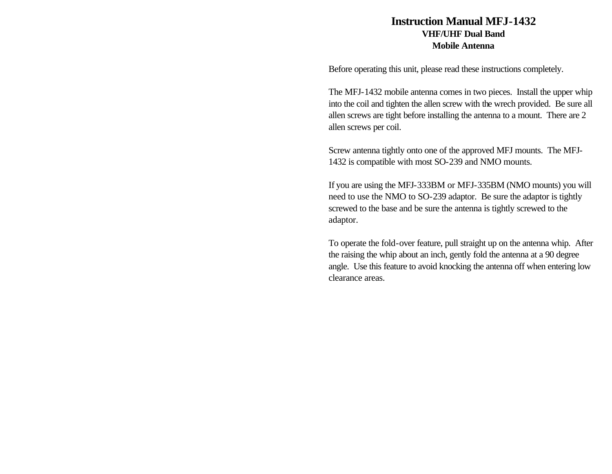## **Instruction Manual MFJ-1432 VHF/UHF Dual Band Mobile Antenna**

Before operating this unit, please read these instructions completely.

The MFJ-1432 mobile antenna comes in two pieces. Install the upper whip into the coil and tighten the allen screw with the wrech provided. Be sure all allen screws are tight before installing the antenna to a mount. There are 2 allen screws per coil.

Screw antenna tightly onto one of the approved MFJ mounts. The MFJ-1432 is compatible with most SO-239 and NMO mounts.

If you are using the MFJ-333BM or MFJ-335BM (NMO mounts) you will need to use the NMO to SO-239 adaptor. Be sure the adaptor is tightly screwed to the base and be sure the antenna is tightly screwed to the adaptor.

To operate the fold-over feature, pull straight up on the antenna whip. After the raising the whip about an inch, gently fold the antenna at a 90 degree angle. Use this feature to avoid knocking the antenna off when entering low clearance areas.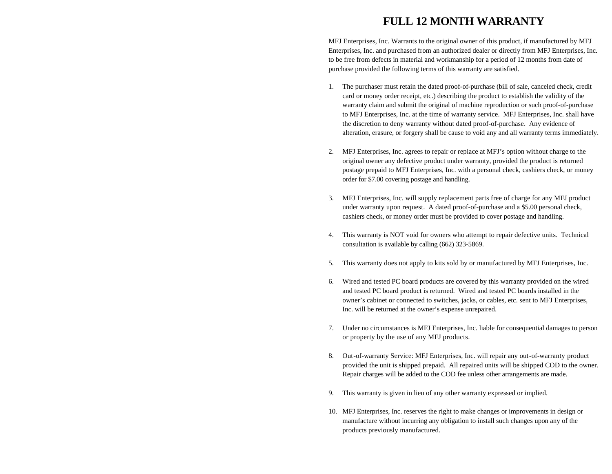## **FULL 12 MONTH WARRANTY**

MFJ Enterprises, Inc. Warrants to the original owner of this product, if manufactured by MFJ Enterprises, Inc. and purchased from an authorized dealer or directly from MFJ Enterprises, Inc. to be free from defects in material and workmanship for a period of 12 months from date of purchase provided the following terms of this warranty are satisfied.

- 1. The purchaser must retain the dated proof-of-purchase (bill of sale, canceled check, credit card or money order receipt, etc.) describing the product to establish the validity of the warranty claim and submit the original of machine reproduction or such proof-of-purchase to MFJ Enterprises, Inc. at the time of warranty service. MFJ Enterprises, Inc. shall have the discretion to deny warranty without dated proof-of-purchase. Any evidence of alteration, erasure, or forgery shall be cause to void any and all warranty terms immediately.
- 2. MFJ Enterprises, Inc. agrees to repair or replace at MFJ's option without charge to the original owner any defective product under warranty, provided the product is returned postage prepaid to MFJ Enterprises, Inc. with a personal check, cashiers check, or money order for \$7.00 covering postage and handling.
- 3. MFJ Enterprises, Inc. will supply replacement parts free of charge for any MFJ product under warranty upon request. A dated proof-of-purchase and a \$5.00 personal check, cashiers check, or money order must be provided to cover postage and handling.
- 4. This warranty is NOT void for owners who attempt to repair defective units. Technical consultation is available by calling (662) 323-5869.
- 5. This warranty does not apply to kits sold by or manufactured by MFJ Enterprises, Inc.
- 6. Wired and tested PC board products are covered by this warranty provided on the wired and tested PC board product is returned. Wired and tested PC boards installed in the owner's cabinet or connected to switches, jacks, or cables, etc. sent to MFJ Enterprises, Inc. will be returned at the owner's expense unrepaired.
- 7. Under no circumstances is MFJ Enterprises, Inc. liable for consequential damages to person or property by the use of any MFJ products.
- 8. Out-of-warranty Service: MFJ Enterprises, Inc. will repair any out-of-warranty product provided the unit is shipped prepaid. All repaired units will be shipped COD to the owner. Repair charges will be added to the COD fee unless other arrangements are made.
- 9. This warranty is given in lieu of any other warranty expressed or implied.
- 10. MFJ Enterprises, Inc. reserves the right to make changes or improvements in design or manufacture without incurring any obligation to install such changes upon any of the products previously manufactured.